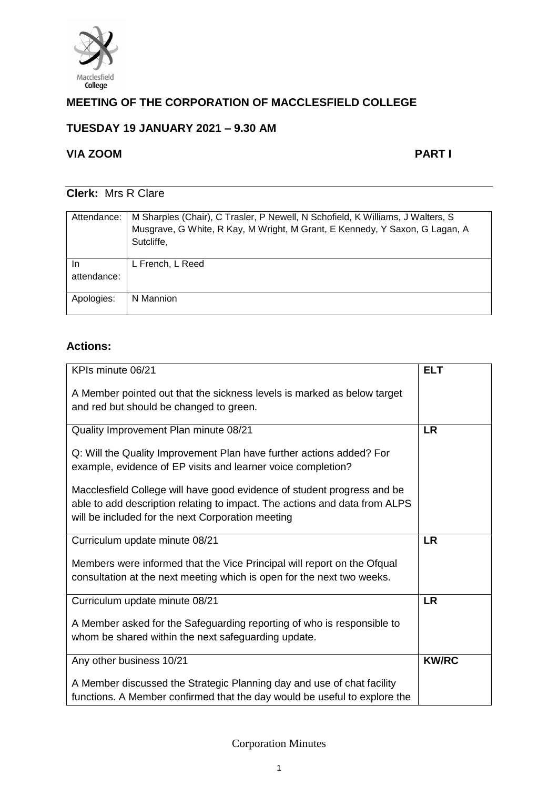

# **MEETING OF THE CORPORATION OF MACCLESFIELD COLLEGE**

## **TUESDAY 19 JANUARY 2021 – 9.30 AM**

## **VIA ZOOM PART I**

## **Clerk:** Mrs R Clare

| Attendance: | M Sharples (Chair), C Trasler, P Newell, N Schofield, K Williams, J Walters, S<br>Musgrave, G White, R Kay, M Wright, M Grant, E Kennedy, Y Saxon, G Lagan, A<br>Sutcliffe, |
|-------------|-----------------------------------------------------------------------------------------------------------------------------------------------------------------------------|
| In          | L French, L Reed                                                                                                                                                            |
| attendance: |                                                                                                                                                                             |
| Apologies:  | N Mannion                                                                                                                                                                   |

## **Actions:**

| KPIs minute 06/21                                                                                                                                                                                          | <b>ELT</b>   |
|------------------------------------------------------------------------------------------------------------------------------------------------------------------------------------------------------------|--------------|
| A Member pointed out that the sickness levels is marked as below target<br>and red but should be changed to green.                                                                                         |              |
| Quality Improvement Plan minute 08/21                                                                                                                                                                      | <b>LR</b>    |
| Q: Will the Quality Improvement Plan have further actions added? For<br>example, evidence of EP visits and learner voice completion?                                                                       |              |
| Macclesfield College will have good evidence of student progress and be<br>able to add description relating to impact. The actions and data from ALPS<br>will be included for the next Corporation meeting |              |
| Curriculum update minute 08/21                                                                                                                                                                             | <b>LR</b>    |
| Members were informed that the Vice Principal will report on the Ofqual<br>consultation at the next meeting which is open for the next two weeks.                                                          |              |
| Curriculum update minute 08/21                                                                                                                                                                             | <b>LR</b>    |
| A Member asked for the Safeguarding reporting of who is responsible to<br>whom be shared within the next safeguarding update.                                                                              |              |
| Any other business 10/21                                                                                                                                                                                   | <b>KW/RC</b> |
| A Member discussed the Strategic Planning day and use of chat facility<br>functions. A Member confirmed that the day would be useful to explore the                                                        |              |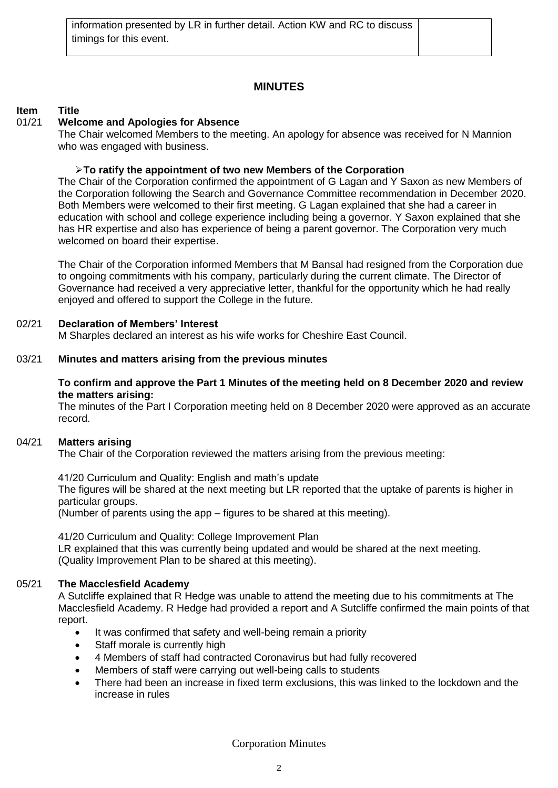## **MINUTES**

## **Item Title**

## 01/21 **Welcome and Apologies for Absence**

The Chair welcomed Members to the meeting. An apology for absence was received for N Mannion who was engaged with business.

## ➢**To ratify the appointment of two new Members of the Corporation**

The Chair of the Corporation confirmed the appointment of G Lagan and Y Saxon as new Members of the Corporation following the Search and Governance Committee recommendation in December 2020. Both Members were welcomed to their first meeting. G Lagan explained that she had a career in education with school and college experience including being a governor. Y Saxon explained that she has HR expertise and also has experience of being a parent governor. The Corporation very much welcomed on board their expertise.

The Chair of the Corporation informed Members that M Bansal had resigned from the Corporation due to ongoing commitments with his company, particularly during the current climate. The Director of Governance had received a very appreciative letter, thankful for the opportunity which he had really enjoyed and offered to support the College in the future.

#### 02/21 **Declaration of Members' Interest**

M Sharples declared an interest as his wife works for Cheshire East Council.

#### 03/21 **Minutes and matters arising from the previous minutes**

#### **To confirm and approve the Part 1 Minutes of the meeting held on 8 December 2020 and review the matters arising:**

The minutes of the Part I Corporation meeting held on 8 December 2020 were approved as an accurate record.

## 04/21 **Matters arising**

The Chair of the Corporation reviewed the matters arising from the previous meeting:

41/20 Curriculum and Quality: English and math's update The figures will be shared at the next meeting but LR reported that the uptake of parents is higher in particular groups.

(Number of parents using the app – figures to be shared at this meeting).

41/20 Curriculum and Quality: College Improvement Plan LR explained that this was currently being updated and would be shared at the next meeting. (Quality Improvement Plan to be shared at this meeting).

## 05/21 **The Macclesfield Academy**

A Sutcliffe explained that R Hedge was unable to attend the meeting due to his commitments at The Macclesfield Academy. R Hedge had provided a report and A Sutcliffe confirmed the main points of that report.

- It was confirmed that safety and well-being remain a priority
- Staff morale is currently high
- 4 Members of staff had contracted Coronavirus but had fully recovered
- Members of staff were carrying out well-being calls to students
- There had been an increase in fixed term exclusions, this was linked to the lockdown and the increase in rules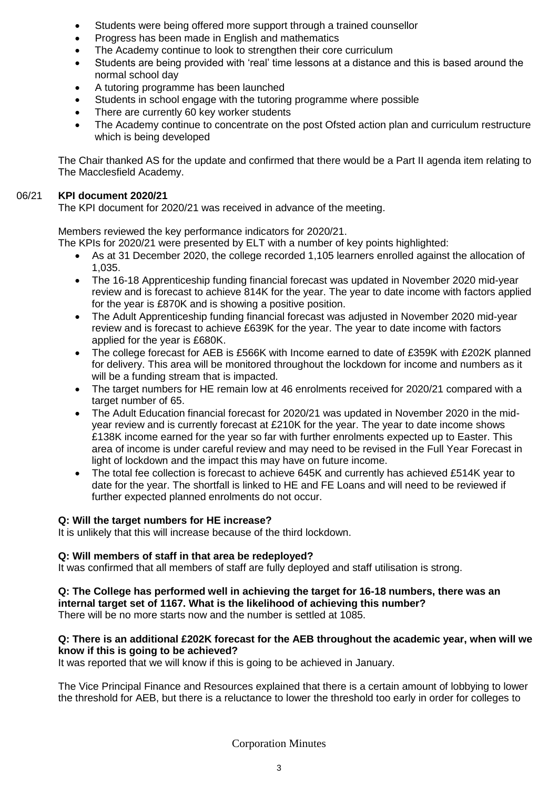- Students were being offered more support through a trained counsellor
- Progress has been made in English and mathematics
- The Academy continue to look to strengthen their core curriculum
- Students are being provided with 'real' time lessons at a distance and this is based around the normal school day
- A tutoring programme has been launched
- Students in school engage with the tutoring programme where possible
- There are currently 60 key worker students
- The Academy continue to concentrate on the post Ofsted action plan and curriculum restructure which is being developed

The Chair thanked AS for the update and confirmed that there would be a Part II agenda item relating to The Macclesfield Academy.

#### 06/21 **KPI document 2020/21**

The KPI document for 2020/21 was received in advance of the meeting.

Members reviewed the key performance indicators for 2020/21.

- The KPIs for 2020/21 were presented by ELT with a number of key points highlighted:
	- As at 31 December 2020, the college recorded 1,105 learners enrolled against the allocation of 1,035.
	- The 16-18 Apprenticeship funding financial forecast was updated in November 2020 mid-year review and is forecast to achieve 814K for the year. The year to date income with factors applied for the year is £870K and is showing a positive position.
	- The Adult Apprenticeship funding financial forecast was adjusted in November 2020 mid-year review and is forecast to achieve £639K for the year. The year to date income with factors applied for the year is £680K.
	- The college forecast for AEB is £566K with Income earned to date of £359K with £202K planned for delivery. This area will be monitored throughout the lockdown for income and numbers as it will be a funding stream that is impacted.
	- The target numbers for HE remain low at 46 enrolments received for 2020/21 compared with a target number of 65.
	- The Adult Education financial forecast for 2020/21 was updated in November 2020 in the midyear review and is currently forecast at £210K for the year. The year to date income shows £138K income earned for the year so far with further enrolments expected up to Easter. This area of income is under careful review and may need to be revised in the Full Year Forecast in light of lockdown and the impact this may have on future income.
	- The total fee collection is forecast to achieve 645K and currently has achieved £514K year to date for the year. The shortfall is linked to HE and FE Loans and will need to be reviewed if further expected planned enrolments do not occur.

## **Q: Will the target numbers for HE increase?**

It is unlikely that this will increase because of the third lockdown.

#### **Q: Will members of staff in that area be redeployed?**

It was confirmed that all members of staff are fully deployed and staff utilisation is strong.

# **Q: The College has performed well in achieving the target for 16-18 numbers, there was an**

**internal target set of 1167. What is the likelihood of achieving this number?**  There will be no more starts now and the number is settled at 1085.

#### **Q: There is an additional £202K forecast for the AEB throughout the academic year, when will we know if this is going to be achieved?**

It was reported that we will know if this is going to be achieved in January.

The Vice Principal Finance and Resources explained that there is a certain amount of lobbying to lower the threshold for AEB, but there is a reluctance to lower the threshold too early in order for colleges to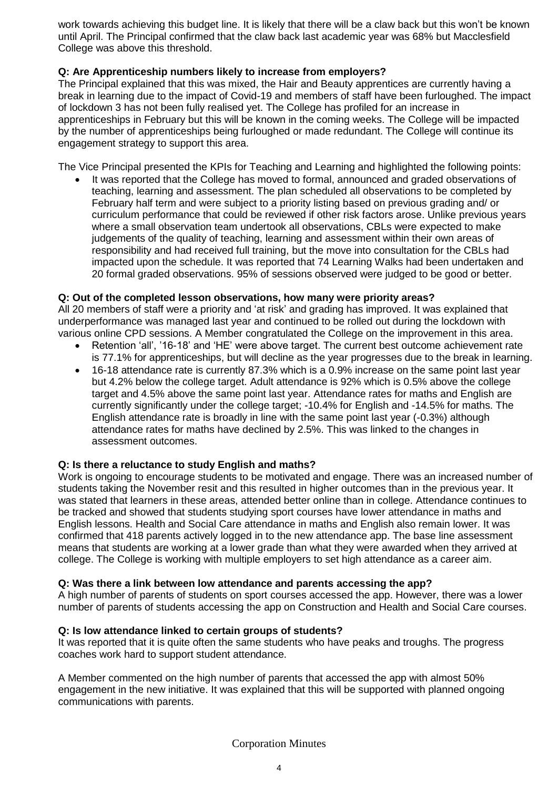work towards achieving this budget line. It is likely that there will be a claw back but this won't be known until April. The Principal confirmed that the claw back last academic year was 68% but Macclesfield College was above this threshold.

### **Q: Are Apprenticeship numbers likely to increase from employers?**

The Principal explained that this was mixed, the Hair and Beauty apprentices are currently having a break in learning due to the impact of Covid-19 and members of staff have been furloughed. The impact of lockdown 3 has not been fully realised yet. The College has profiled for an increase in apprenticeships in February but this will be known in the coming weeks. The College will be impacted by the number of apprenticeships being furloughed or made redundant. The College will continue its engagement strategy to support this area.

The Vice Principal presented the KPIs for Teaching and Learning and highlighted the following points:

It was reported that the College has moved to formal, announced and graded observations of teaching, learning and assessment. The plan scheduled all observations to be completed by February half term and were subject to a priority listing based on previous grading and/ or curriculum performance that could be reviewed if other risk factors arose. Unlike previous years where a small observation team undertook all observations, CBLs were expected to make judgements of the quality of teaching, learning and assessment within their own areas of responsibility and had received full training, but the move into consultation for the CBLs had impacted upon the schedule. It was reported that 74 Learning Walks had been undertaken and 20 formal graded observations. 95% of sessions observed were judged to be good or better.

#### **Q: Out of the completed lesson observations, how many were priority areas?**

All 20 members of staff were a priority and 'at risk' and grading has improved. It was explained that underperformance was managed last year and continued to be rolled out during the lockdown with various online CPD sessions. A Member congratulated the College on the improvement in this area.

- Retention 'all', '16-18' and 'HE' were above target. The current best outcome achievement rate is 77.1% for apprenticeships, but will decline as the year progresses due to the break in learning.
- 16-18 attendance rate is currently 87.3% which is a 0.9% increase on the same point last year but 4.2% below the college target. Adult attendance is 92% which is 0.5% above the college target and 4.5% above the same point last year. Attendance rates for maths and English are currently significantly under the college target; -10.4% for English and -14.5% for maths. The English attendance rate is broadly in line with the same point last year (-0.3%) although attendance rates for maths have declined by 2.5%. This was linked to the changes in assessment outcomes.

#### **Q: Is there a reluctance to study English and maths?**

Work is ongoing to encourage students to be motivated and engage. There was an increased number of students taking the November resit and this resulted in higher outcomes than in the previous year. It was stated that learners in these areas, attended better online than in college. Attendance continues to be tracked and showed that students studying sport courses have lower attendance in maths and English lessons. Health and Social Care attendance in maths and English also remain lower. It was confirmed that 418 parents actively logged in to the new attendance app. The base line assessment means that students are working at a lower grade than what they were awarded when they arrived at college. The College is working with multiple employers to set high attendance as a career aim.

#### **Q: Was there a link between low attendance and parents accessing the app?**

A high number of parents of students on sport courses accessed the app. However, there was a lower number of parents of students accessing the app on Construction and Health and Social Care courses.

#### **Q: Is low attendance linked to certain groups of students?**

It was reported that it is quite often the same students who have peaks and troughs. The progress coaches work hard to support student attendance.

A Member commented on the high number of parents that accessed the app with almost 50% engagement in the new initiative. It was explained that this will be supported with planned ongoing communications with parents.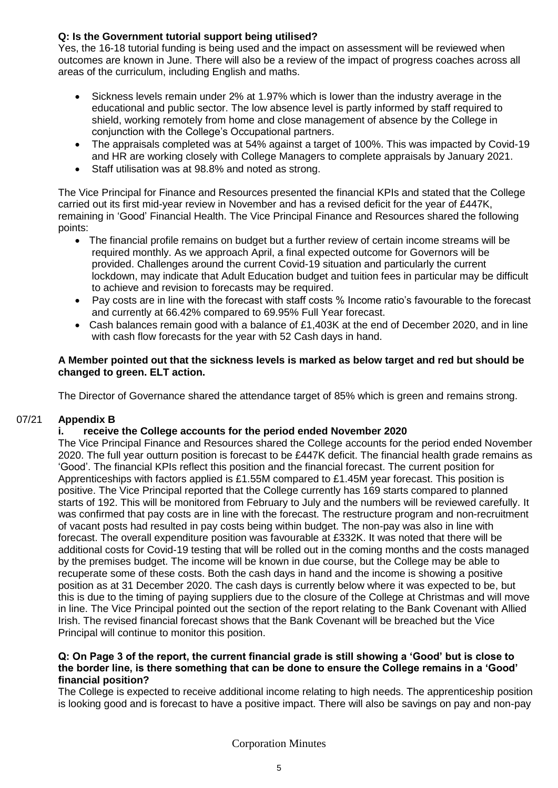## **Q: Is the Government tutorial support being utilised?**

Yes, the 16-18 tutorial funding is being used and the impact on assessment will be reviewed when outcomes are known in June. There will also be a review of the impact of progress coaches across all areas of the curriculum, including English and maths.

- Sickness levels remain under 2% at 1.97% which is lower than the industry average in the educational and public sector. The low absence level is partly informed by staff required to shield, working remotely from home and close management of absence by the College in conjunction with the College's Occupational partners.
- The appraisals completed was at 54% against a target of 100%. This was impacted by Covid-19 and HR are working closely with College Managers to complete appraisals by January 2021.
- Staff utilisation was at 98.8% and noted as strong.

The Vice Principal for Finance and Resources presented the financial KPIs and stated that the College carried out its first mid-year review in November and has a revised deficit for the year of £447K, remaining in 'Good' Financial Health. The Vice Principal Finance and Resources shared the following points:

- The financial profile remains on budget but a further review of certain income streams will be required monthly. As we approach April, a final expected outcome for Governors will be provided. Challenges around the current Covid-19 situation and particularly the current lockdown, may indicate that Adult Education budget and tuition fees in particular may be difficult to achieve and revision to forecasts may be required.
- Pay costs are in line with the forecast with staff costs % Income ratio's favourable to the forecast and currently at 66.42% compared to 69.95% Full Year forecast.
- Cash balances remain good with a balance of £1,403K at the end of December 2020, and in line with cash flow forecasts for the year with 52 Cash days in hand.

#### **A Member pointed out that the sickness levels is marked as below target and red but should be changed to green. ELT action.**

The Director of Governance shared the attendance target of 85% which is green and remains strong.

#### 07/21 **Appendix B**

## **i. receive the College accounts for the period ended November 2020**

The Vice Principal Finance and Resources shared the College accounts for the period ended November 2020. The full year outturn position is forecast to be £447K deficit. The financial health grade remains as 'Good'. The financial KPIs reflect this position and the financial forecast. The current position for Apprenticeships with factors applied is £1.55M compared to £1.45M year forecast. This position is positive. The Vice Principal reported that the College currently has 169 starts compared to planned starts of 192. This will be monitored from February to July and the numbers will be reviewed carefully. It was confirmed that pay costs are in line with the forecast. The restructure program and non-recruitment of vacant posts had resulted in pay costs being within budget. The non-pay was also in line with forecast. The overall expenditure position was favourable at £332K. It was noted that there will be additional costs for Covid-19 testing that will be rolled out in the coming months and the costs managed by the premises budget. The income will be known in due course, but the College may be able to recuperate some of these costs. Both the cash days in hand and the income is showing a positive position as at 31 December 2020. The cash days is currently below where it was expected to be, but this is due to the timing of paying suppliers due to the closure of the College at Christmas and will move in line. The Vice Principal pointed out the section of the report relating to the Bank Covenant with Allied Irish. The revised financial forecast shows that the Bank Covenant will be breached but the Vice Principal will continue to monitor this position.

#### **Q: On Page 3 of the report, the current financial grade is still showing a 'Good' but is close to the border line, is there something that can be done to ensure the College remains in a 'Good' financial position?**

The College is expected to receive additional income relating to high needs. The apprenticeship position is looking good and is forecast to have a positive impact. There will also be savings on pay and non-pay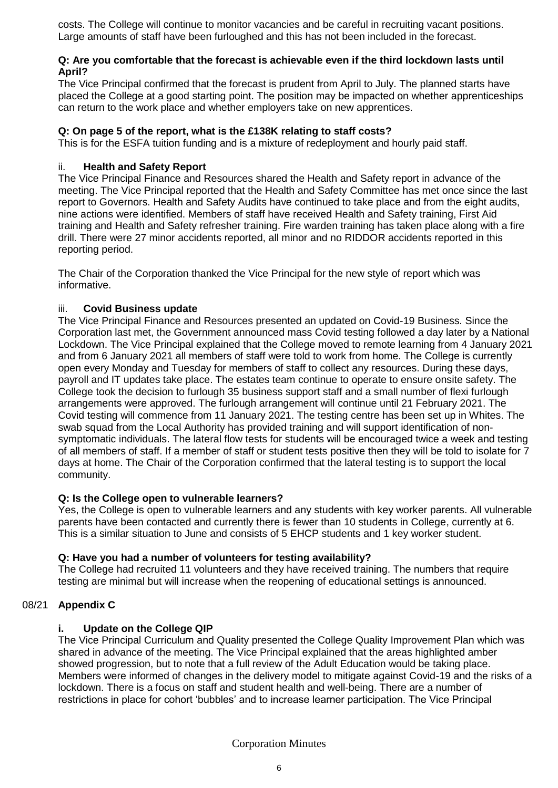costs. The College will continue to monitor vacancies and be careful in recruiting vacant positions. Large amounts of staff have been furloughed and this has not been included in the forecast.

#### **Q: Are you comfortable that the forecast is achievable even if the third lockdown lasts until April?**

The Vice Principal confirmed that the forecast is prudent from April to July. The planned starts have placed the College at a good starting point. The position may be impacted on whether apprenticeships can return to the work place and whether employers take on new apprentices.

### **Q: On page 5 of the report, what is the £138K relating to staff costs?**

This is for the ESFA tuition funding and is a mixture of redeployment and hourly paid staff.

#### ii. **Health and Safety Report**

The Vice Principal Finance and Resources shared the Health and Safety report in advance of the meeting. The Vice Principal reported that the Health and Safety Committee has met once since the last report to Governors. Health and Safety Audits have continued to take place and from the eight audits, nine actions were identified. Members of staff have received Health and Safety training, First Aid training and Health and Safety refresher training. Fire warden training has taken place along with a fire drill. There were 27 minor accidents reported, all minor and no RIDDOR accidents reported in this reporting period.

The Chair of the Corporation thanked the Vice Principal for the new style of report which was informative.

#### iii. **Covid Business update**

The Vice Principal Finance and Resources presented an updated on Covid-19 Business. Since the Corporation last met, the Government announced mass Covid testing followed a day later by a National Lockdown. The Vice Principal explained that the College moved to remote learning from 4 January 2021 and from 6 January 2021 all members of staff were told to work from home. The College is currently open every Monday and Tuesday for members of staff to collect any resources. During these days, payroll and IT updates take place. The estates team continue to operate to ensure onsite safety. The College took the decision to furlough 35 business support staff and a small number of flexi furlough arrangements were approved. The furlough arrangement will continue until 21 February 2021. The Covid testing will commence from 11 January 2021. The testing centre has been set up in Whites. The swab squad from the Local Authority has provided training and will support identification of nonsymptomatic individuals. The lateral flow tests for students will be encouraged twice a week and testing of all members of staff. If a member of staff or student tests positive then they will be told to isolate for 7 days at home. The Chair of the Corporation confirmed that the lateral testing is to support the local community.

#### **Q: Is the College open to vulnerable learners?**

Yes, the College is open to vulnerable learners and any students with key worker parents. All vulnerable parents have been contacted and currently there is fewer than 10 students in College, currently at 6. This is a similar situation to June and consists of 5 EHCP students and 1 key worker student.

#### **Q: Have you had a number of volunteers for testing availability?**

The College had recruited 11 volunteers and they have received training. The numbers that require testing are minimal but will increase when the reopening of educational settings is announced.

## 08/21 **Appendix C**

#### **i. Update on the College QIP**

The Vice Principal Curriculum and Quality presented the College Quality Improvement Plan which was shared in advance of the meeting. The Vice Principal explained that the areas highlighted amber showed progression, but to note that a full review of the Adult Education would be taking place. Members were informed of changes in the delivery model to mitigate against Covid-19 and the risks of a lockdown. There is a focus on staff and student health and well-being. There are a number of restrictions in place for cohort 'bubbles' and to increase learner participation. The Vice Principal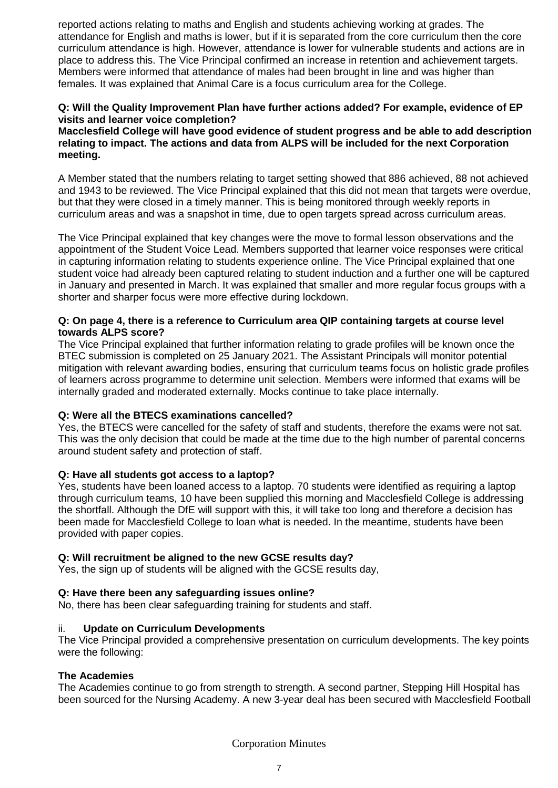reported actions relating to maths and English and students achieving working at grades. The attendance for English and maths is lower, but if it is separated from the core curriculum then the core curriculum attendance is high. However, attendance is lower for vulnerable students and actions are in place to address this. The Vice Principal confirmed an increase in retention and achievement targets. Members were informed that attendance of males had been brought in line and was higher than females. It was explained that Animal Care is a focus curriculum area for the College.

### **Q: Will the Quality Improvement Plan have further actions added? For example, evidence of EP visits and learner voice completion?**

**Macclesfield College will have good evidence of student progress and be able to add description relating to impact. The actions and data from ALPS will be included for the next Corporation meeting.** 

A Member stated that the numbers relating to target setting showed that 886 achieved, 88 not achieved and 1943 to be reviewed. The Vice Principal explained that this did not mean that targets were overdue, but that they were closed in a timely manner. This is being monitored through weekly reports in curriculum areas and was a snapshot in time, due to open targets spread across curriculum areas.

The Vice Principal explained that key changes were the move to formal lesson observations and the appointment of the Student Voice Lead. Members supported that learner voice responses were critical in capturing information relating to students experience online. The Vice Principal explained that one student voice had already been captured relating to student induction and a further one will be captured in January and presented in March. It was explained that smaller and more regular focus groups with a shorter and sharper focus were more effective during lockdown.

#### **Q: On page 4, there is a reference to Curriculum area QIP containing targets at course level towards ALPS score?**

The Vice Principal explained that further information relating to grade profiles will be known once the BTEC submission is completed on 25 January 2021. The Assistant Principals will monitor potential mitigation with relevant awarding bodies, ensuring that curriculum teams focus on holistic grade profiles of learners across programme to determine unit selection. Members were informed that exams will be internally graded and moderated externally. Mocks continue to take place internally.

#### **Q: Were all the BTECS examinations cancelled?**

Yes, the BTECS were cancelled for the safety of staff and students, therefore the exams were not sat. This was the only decision that could be made at the time due to the high number of parental concerns around student safety and protection of staff.

#### **Q: Have all students got access to a laptop?**

Yes, students have been loaned access to a laptop. 70 students were identified as requiring a laptop through curriculum teams, 10 have been supplied this morning and Macclesfield College is addressing the shortfall. Although the DfE will support with this, it will take too long and therefore a decision has been made for Macclesfield College to loan what is needed. In the meantime, students have been provided with paper copies.

#### **Q: Will recruitment be aligned to the new GCSE results day?**

Yes, the sign up of students will be aligned with the GCSE results day,

#### **Q: Have there been any safeguarding issues online?**

No, there has been clear safeguarding training for students and staff.

#### ii. **Update on Curriculum Developments**

The Vice Principal provided a comprehensive presentation on curriculum developments. The key points were the following:

#### **The Academies**

The Academies continue to go from strength to strength. A second partner, Stepping Hill Hospital has been sourced for the Nursing Academy. A new 3-year deal has been secured with Macclesfield Football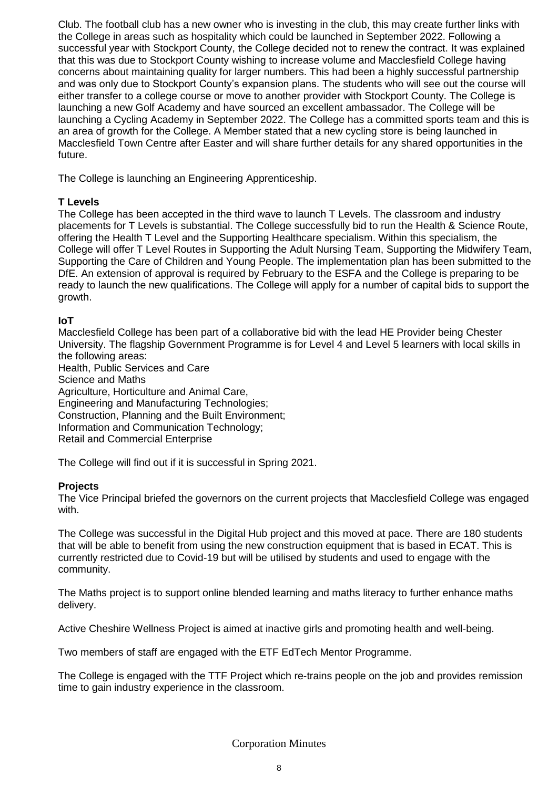Club. The football club has a new owner who is investing in the club, this may create further links with the College in areas such as hospitality which could be launched in September 2022. Following a successful year with Stockport County, the College decided not to renew the contract. It was explained that this was due to Stockport County wishing to increase volume and Macclesfield College having concerns about maintaining quality for larger numbers. This had been a highly successful partnership and was only due to Stockport County's expansion plans. The students who will see out the course will either transfer to a college course or move to another provider with Stockport County. The College is launching a new Golf Academy and have sourced an excellent ambassador. The College will be launching a Cycling Academy in September 2022. The College has a committed sports team and this is an area of growth for the College. A Member stated that a new cycling store is being launched in Macclesfield Town Centre after Easter and will share further details for any shared opportunities in the future.

The College is launching an Engineering Apprenticeship.

#### **T Levels**

The College has been accepted in the third wave to launch T Levels. The classroom and industry placements for T Levels is substantial. The College successfully bid to run the Health & Science Route, offering the Health T Level and the Supporting Healthcare specialism. Within this specialism, the College will offer T Level Routes in Supporting the Adult Nursing Team, Supporting the Midwifery Team, Supporting the Care of Children and Young People. The implementation plan has been submitted to the DfE. An extension of approval is required by February to the ESFA and the College is preparing to be ready to launch the new qualifications. The College will apply for a number of capital bids to support the growth.

#### **IoT**

Macclesfield College has been part of a collaborative bid with the lead HE Provider being Chester University. The flagship Government Programme is for Level 4 and Level 5 learners with local skills in the following areas:

Health, Public Services and Care Science and Maths Agriculture, Horticulture and Animal Care, Engineering and Manufacturing Technologies; Construction, Planning and the Built Environment; Information and Communication Technology; Retail and Commercial Enterprise

The College will find out if it is successful in Spring 2021.

#### **Projects**

The Vice Principal briefed the governors on the current projects that Macclesfield College was engaged with.

The College was successful in the Digital Hub project and this moved at pace. There are 180 students that will be able to benefit from using the new construction equipment that is based in ECAT. This is currently restricted due to Covid-19 but will be utilised by students and used to engage with the community.

The Maths project is to support online blended learning and maths literacy to further enhance maths delivery.

Active Cheshire Wellness Project is aimed at inactive girls and promoting health and well-being.

Two members of staff are engaged with the ETF EdTech Mentor Programme.

The College is engaged with the TTF Project which re-trains people on the job and provides remission time to gain industry experience in the classroom.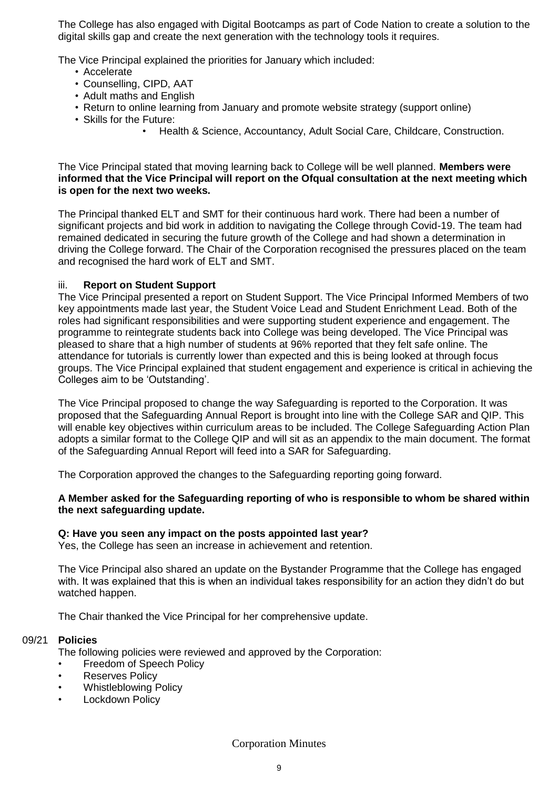The College has also engaged with Digital Bootcamps as part of Code Nation to create a solution to the digital skills gap and create the next generation with the technology tools it requires.

The Vice Principal explained the priorities for January which included:

- Accelerate
- Counselling, CIPD, AAT
- Adult maths and English
- Return to online learning from January and promote website strategy (support online)
- Skills for the Future:
	- Health & Science, Accountancy, Adult Social Care, Childcare, Construction.

The Vice Principal stated that moving learning back to College will be well planned. **Members were informed that the Vice Principal will report on the Ofqual consultation at the next meeting which is open for the next two weeks.** 

The Principal thanked ELT and SMT for their continuous hard work. There had been a number of significant projects and bid work in addition to navigating the College through Covid-19. The team had remained dedicated in securing the future growth of the College and had shown a determination in driving the College forward. The Chair of the Corporation recognised the pressures placed on the team and recognised the hard work of ELT and SMT.

#### iii. **Report on Student Support**

The Vice Principal presented a report on Student Support. The Vice Principal Informed Members of two key appointments made last year, the Student Voice Lead and Student Enrichment Lead. Both of the roles had significant responsibilities and were supporting student experience and engagement. The programme to reintegrate students back into College was being developed. The Vice Principal was pleased to share that a high number of students at 96% reported that they felt safe online. The attendance for tutorials is currently lower than expected and this is being looked at through focus groups. The Vice Principal explained that student engagement and experience is critical in achieving the Colleges aim to be 'Outstanding'.

The Vice Principal proposed to change the way Safeguarding is reported to the Corporation. It was proposed that the Safeguarding Annual Report is brought into line with the College SAR and QIP. This will enable key objectives within curriculum areas to be included. The College Safeguarding Action Plan adopts a similar format to the College QIP and will sit as an appendix to the main document. The format of the Safeguarding Annual Report will feed into a SAR for Safeguarding.

The Corporation approved the changes to the Safeguarding reporting going forward.

#### **A Member asked for the Safeguarding reporting of who is responsible to whom be shared within the next safeguarding update.**

#### **Q: Have you seen any impact on the posts appointed last year?**

Yes, the College has seen an increase in achievement and retention.

The Vice Principal also shared an update on the Bystander Programme that the College has engaged with. It was explained that this is when an individual takes responsibility for an action they didn't do but watched happen.

The Chair thanked the Vice Principal for her comprehensive update.

#### 09/21 **Policies**

The following policies were reviewed and approved by the Corporation:

- Freedom of Speech Policy
- **Reserves Policy**
- Whistleblowing Policy
- **Lockdown Policy**